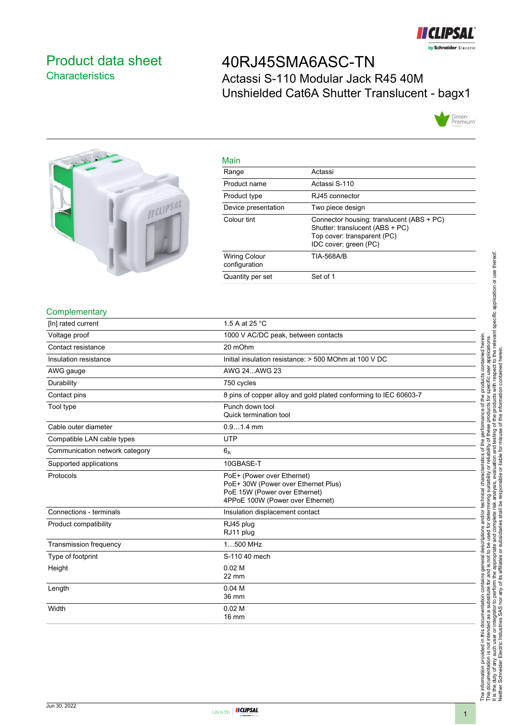

## <span id="page-0-0"></span>Product data sheet **Characteristics**

# 40RJ45SMA6ASC-TN Actassi S-110 Modular Jack R45 40M Unshielded Cat6A Shutter Translucent - bagx1





| Main                                  |                                                                                                                                      |
|---------------------------------------|--------------------------------------------------------------------------------------------------------------------------------------|
| Range                                 | Actassi                                                                                                                              |
| Product name                          | Actassi S-110                                                                                                                        |
| Product type                          | RJ45 connector                                                                                                                       |
| Device presentation                   | Two piece design                                                                                                                     |
| Colour tint                           | Connector housing: translucent (ABS + PC)<br>Shutter: translucent (ABS + PC)<br>Top cover: transparent (PC)<br>IDC cover: green (PC) |
| <b>Wiring Colour</b><br>configuration | <b>TIA-568A/B</b>                                                                                                                    |
| Quantity per set                      | Set of 1                                                                                                                             |

#### **Complementary**

| [In] rated current             | 1.5 A at 25 °C                                                                                                                         |
|--------------------------------|----------------------------------------------------------------------------------------------------------------------------------------|
| Voltage proof                  | 1000 V AC/DC peak, between contacts                                                                                                    |
| Contact resistance             | 20 mOhm                                                                                                                                |
| Insulation resistance          | Initial insulation resistance: > 500 MOhm at 100 V DC                                                                                  |
| AWG gauge                      | AWG 24AWG 23                                                                                                                           |
| Durability                     | 750 cycles                                                                                                                             |
| Contact pins                   | 8 pins of copper alloy and gold plated conforming to IEC 60603-7                                                                       |
| Tool type                      | Punch down tool<br>Quick termination tool                                                                                              |
| Cable outer diameter           | $0.91.4$ mm                                                                                                                            |
| Compatible LAN cable types     | <b>UTP</b>                                                                                                                             |
| Communication network category | $6_A$                                                                                                                                  |
| Supported applications         | 10GBASE-T                                                                                                                              |
| Protocols                      | PoE+ (Power over Ethernet)<br>PoE+ 30W (Power over Ethernet Plus)<br>PoE 15W (Power over Ethernet)<br>4PPoE 100W (Power over Ethernet) |
| Connections - terminals        | Insulation displacement contact                                                                                                        |
| Product compatibility          | RJ45 plug<br>RJ11 plug                                                                                                                 |
| <b>Transmission frequency</b>  | 1500 MHz                                                                                                                               |
| Type of footprint              | S-110 40 mech                                                                                                                          |
| Height                         | 0.02 <sub>M</sub><br>22 mm                                                                                                             |
| Length                         | 0.04 <sub>M</sub><br>36 mm                                                                                                             |
| Width                          | 0.02 <sub>M</sub><br><b>16 mm</b>                                                                                                      |